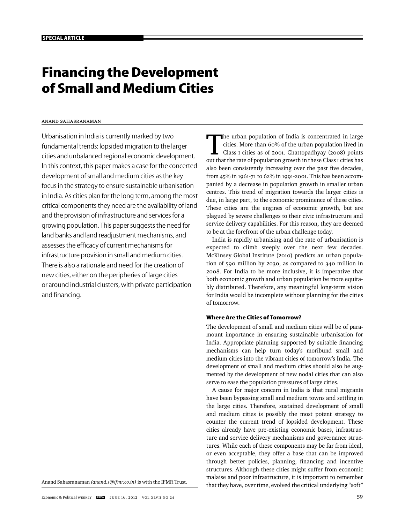# **Financing the Development of Small and Medium Cities**

#### Anand Sahasranaman

Urbanisation in India is currently marked by two fundamental trends: lopsided migration to the larger cities and unbalanced regional economic development. In this context, this paper makes a case for the concerted development of small and medium cities as the key focus in the strategy to ensure sustainable urbanisation in India. As cities plan for the long term, among the most critical components they need are the availability of land and the provision of infrastructure and services for a growing population. This paper suggests the need for land banks and land readjustment mechanisms, and assesses the efficacy of current mechanisms for infrastructure provision in small and medium cities. There is also a rationale and need for the creation of new cities, either on the peripheries of large cities or around industrial clusters, with private participation and financing.

Anand Sahasranaman *(anand.s@ifmr.co.in)* is with the IFMR Trust.

The urban population of India is concentrated in large cities. More than 60% of the urban population lived in Class 1 cities as of 2001. Chattopadhyay (2008) points cities. More than 60% of the urban population lived in out that the rate of population growth in these Class I cities has also been consistently increasing over the past five decades, from 45% in 1961-71 to 62% in 1991-2001. This has been accompanied by a decrease in population growth in smaller urban centres. This trend of migration towards the larger cities is due, in large part, to the economic prominence of these cities. These cities are the engines of economic growth, but are plagued by severe challenges to their civic infrastructure and service delivery capabilities. For this reason, they are deemed to be at the forefront of the urban challenge today.

India is rapidly urbanising and the rate of urbanisation is expected to climb steeply over the next few decades. McKinsey Global Institute (2010) predicts an urban population of 590 million by 2030, as compared to 340 million in 2008. For India to be more inclusive, it is imperative that both economic growth and urban population be more equitably distributed. Therefore, any meaningful long-term vision for India would be incomplete without planning for the cities of tomorrow.

#### **Where Are the Cities of Tomorrow?**

The development of small and medium cities will be of paramount importance in ensuring sustainable urbanisation for India. Appropriate planning supported by suitable financing mechanisms can help turn today's moribund small and medium cities into the vibrant cities of tomorrow's India. The development of small and medium cities should also be augmented by the development of new nodal cities that can also serve to ease the population pressures of large cities.

A cause for major concern in India is that rural migrants have been bypassing small and medium towns and settling in the large cities. Therefore, sustained development of small and medium cities is possibly the most potent strategy to counter the current trend of lopsided development. These cities already have pre-existing economic bases, infrastructure and service delivery mechanisms and governance structures. While each of these components may be far from ideal, or even acceptable, they offer a base that can be improved through better policies, planning, financing and incentive structures. Although these cities might suffer from economic malaise and poor infrastructure, it is important to remember that they have, over time, evolved the critical underlying "soft"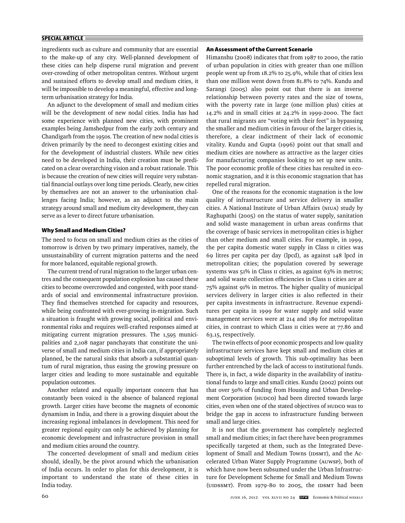ingredients such as culture and community that are essential to the make-up of any city. Well-planned development of these cities can help disperse rural migration and prevent over-crowding of other metropolitan centres. Without urgent and sustained efforts to develop small and medium cities, it will be impossible to develop a meaningful, effective and longterm urbanisation strategy for India.

An adjunct to the development of small and medium cities will be the development of new nodal cities. India has had some experience with planned new cities, with prominent examples being Jamshedpur from the early 20th century and Chandigarh from the 1950s. The creation of new nodal cities is driven primarily by the need to decongest existing cities and for the development of industrial clusters. While new cities need to be developed in India, their creation must be predicated on a clear overarching vision and a robust rationale. This is because the creation of new cities will require very substantial financial outlays over long time periods. Clearly, new cities by themselves are not an answer to the urbanisation challenges facing India; however, as an adjunct to the main strategy around small and medium city development, they can serve as a lever to direct future urbanisation.

#### **Why Small and Medium Cities?**

The need to focus on small and medium cities as the cities of tomorrow is driven by two primary imperatives, namely, the unsustainability of current migration patterns and the need for more balanced, equitable regional growth.

The current trend of rural migration to the larger urban centres and the consequent population explosion has caused these cities to become overcrowded and congested, with poor standards of social and environmental infrastructure provision. They find themselves stretched for capacity and resources, while being confronted with ever-growing in-migration. Such a situation is fraught with growing social, political and environmental risks and requires well-crafted responses aimed at mitigating current migration pressures. The 1,595 municipalities and 2,108 nagar panchayats that constitute the universe of small and medium cities in India can, if appropriately planned, be the natural sinks that absorb a substantial quantum of rural migration, thus easing the growing pressure on larger cities and leading to more sustainable and equitable population outcomes.

Another related and equally important concern that has constantly been voiced is the absence of balanced regional growth. Larger cities have become the magnets of economic dynamism in India, and there is a growing disquiet about the increasing regional imbalances in development. This need for greater regional equity can only be achieved by planning for economic development and infrastructure provision in small and medium cities around the country.

The concerted development of small and medium cities should, ideally, be the pivot around which the urbanisation of India occurs. In order to plan for this development, it is important to understand the state of these cities in India today.

#### **An Assessment of the Current Scenario**

Himanshu (2008) indicates that from 1987 to 2000, the ratio of urban population in cities with greater than one million people went up from 18.2% to 25.9%, while that of cities less than one million went down from 81.8% to 74%. Kundu and Sarangi (2005) also point out that there is an inverse relationship between poverty rates and the size of towns, with the poverty rate in large (one million plus) cities at 14.2% and in small cities at 24.2% in 1999-2000. The fact that rural migrants are "voting with their feet" in bypassing the smaller and medium cities in favour of the larger cities is, therefore, a clear indictment of their lack of economic vitality. Kundu and Gupta (1996) point out that small and medium cities are nowhere as attractive as the larger cities for manufacturing companies looking to set up new units. The poor economic profile of these cities has resulted in economic stagnation, and it is this economic stagnation that has repelled rural migration.

One of the reasons for the economic stagnation is the low quality of infrastructure and service delivery in smaller cities. A National Institute of Urban Affairs (NIUA) study by Raghupathi (2005) on the status of water supply, sanitation and solid waste management in urban areas confirms that the coverage of basic services in metropolitan cities is higher than other medium and small cities. For example, in 1999, the per capita domestic water supply in Class II cities was 69 litres per capita per day (lpcd), as against 148 lpcd in metropolitan cities; the population covered by sewerage systems was 51% in Class II cities, as against 63% in metros; and solid waste collection efficiencies in Class II cities are at 75% against 91% in metros. The higher quality of municipal services delivery in larger cities is also reflected in their per capita investments in infrastructure. Revenue expenditures per capita in 1999 for water supply and solid waste management services were at 214 and 189 for metropolitan cities, in contrast to which Class II cities were at 77.86 and 63.15, respectively.

The twin effects of poor economic prospects and low quality infrastructure services have kept small and medium cities at suboptimal levels of growth. This sub-optimality has been further entrenched by the lack of access to institutional funds. There is, in fact, a wide disparity in the availability of institutional funds to large and small cities. Kundu (2002) points out that over 50% of funding from Housing and Urban Development Corporation (HUDCO) had been directed towards large cities, even when one of the stated objectives of HUDCO was to bridge the gap in access to infrastructure funding between small and large cities.

It is not that the government has completely neglected small and medium cities; in fact there have been programmes specifically targeted at them, such as the Integrated Development of Small and Medium Towns (IDSMT), and the Accelerated Urban Water Supply Programme (AUWSP), both of which have now been subsumed under the Urban Infrastructure for Development Scheme for Small and Medium Towns (UIDSSMT). From 1979-80 to 2005, the IDSMT had been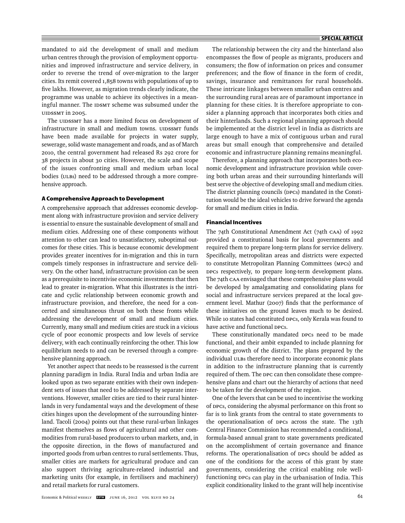mandated to aid the development of small and medium urban centres through the provision of employment opportunities and improved infrastructure and service delivery, in order to reverse the trend of over-migration to the larger cities. Its remit covered 1,858 towns with populations of up to five lakhs. However, as migration trends clearly indicate, the programme was unable to achieve its objectives in a meaningful manner. The IDSMT scheme was subsumed under the UIDSSMT in 2005.

The UIDSSMT has a more limited focus on development of infrastructure in small and medium towns. UIDSSMT funds have been made available for projects in water supply, sewerage, solid waste management and roads, and as of March 2010, the central government had released Rs 292 crore for 38 projects in about 30 cities. However, the scale and scope of the issues confronting small and medium urban local bodies (ULBs) need to be addressed through a more comprehensive approach.

#### **A Comprehensive Approach to Development**

A comprehensive approach that addresses economic development along with infrastructure provision and service delivery is essential to ensure the sustainable development of small and medium cities. Addressing one of these components without attention to other can lead to unsatisfactory, suboptimal outcomes for these cities. This is because economic development provides greater incentives for in-migration and this in turn compels timely responses in infrastructure and service delivery. On the other hand, infrastructure provision can be seen as a prerequisite to incentivise economic investments that then lead to greater in-migration. What this illustrates is the intricate and cyclic relationship between economic growth and infrastructure provision, and therefore, the need for a concerted and simultaneous thrust on both these fronts while addressing the development of small and medium cities. Currently, many small and medium cities are stuck in a vicious cycle of poor economic prospects and low levels of service delivery, with each continually reinforcing the other. This low equilibrium needs to and can be reversed through a comprehensive planning approach.

Yet another aspect that needs to be reassessed is the current planning paradigm in India. Rural India and urban India are looked upon as two separate entities with their own independent sets of issues that need to be addressed by separate interventions. However, smaller cities are tied to their rural hinterlands in very fundamental ways and the development of these cities hinges upon the development of the surrounding hinterland. Tacoli (2004) points out that these rural-urban linkages manifest themselves as flows of agricultural and other commodities from rural-based producers to urban markets, and, in the opposite direction, in the flows of manufactured and imported goods from urban centres to rural settlements. Thus, smaller cities are markets for agricultural produce and can also support thriving agriculture-related industrial and marketing units (for example, in fertilisers and machinery) and retail markets for rural customers.

The relationship between the city and the hinterland also encompasses the flow of people as migrants, producers and consumers; the flow of information on prices and consumer preferences; and the flow of finance in the form of credit, savings, insurance and remittances for rural households. These intricate linkages between smaller urban centres and the surrounding rural areas are of paramount importance in planning for these cities. It is therefore appropriate to consider a planning approach that incorporates both cities and their hinterlands. Such a regional planning approach should be implemented at the district level in India as districts are large enough to have a mix of contiguous urban and rural areas but small enough that comprehensive and detailed economic and infrastructure planning remains meaningful.

Therefore, a planning approach that incorporates both economic development and infrastructure provision while covering both urban areas and their surrounding hinterlands will best serve the objective of developing small and medium cities. The district planning councils (DPCs) mandated in the Constitution would be the ideal vehicles to drive forward the agenda for small and medium cities in India.

#### **Financial Incentives**

The 74th Constitutional Amendment Act (74th CAA) of 1992 provided a constitutional basis for local governments and required them to prepare long-term plans for service delivery. Specifically, metropolitan areas and districts were expected to constitute Metropolitan Planning Committees (MPCs) and DPCs respectively, to prepare long-term development plans. The 74th CAA envisaged that these comprehensive plans would be developed by amalgamating and consolidating plans for social and infrastructure services prepared at the local government level. Mathur (2007) finds that the performance of these initiatives on the ground leaves much to be desired. While 10 states had constituted DPCs, only Kerala was found to have active and functional DPCs.

These constitutionally mandated DPCs need to be made functional, and their ambit expanded to include planning for economic growth of the district. The plans prepared by the individual ULBs therefore need to incorporate economic plans in addition to the infrastructure planning that is currently required of them. The DPC can then consolidate these comprehensive plans and chart out the hierarchy of actions that need to be taken for the development of the region.

One of the levers that can be used to incentivise the working of DPCs, considering the abysmal performance on this front so far is to link grants from the central to state governments to the operationalisation of DPCs across the state. The 13th Central Finance Commission has recommended a conditional, formula-based annual grant to state governments predicated on the accomplishment of certain governance and finance reforms. The operationalisation of DPCs should be added as one of the conditions for the access of this grant by state governments, considering the critical enabling role wellfunctioning DPCs can play in the urbanisation of India. This explicit conditionality linked to the grant will help incentivise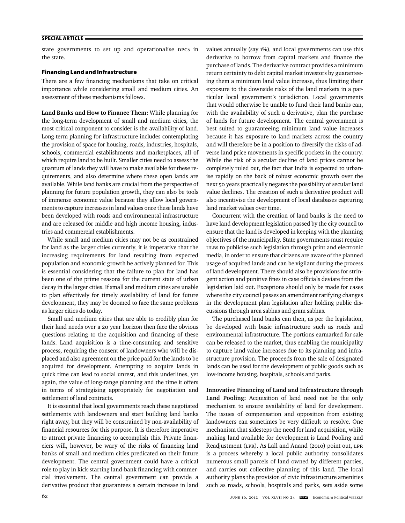state governments to set up and operationalise DPCs in the state.

#### **Financing Land and Infrastructure**

There are a few financing mechanisms that take on critical importance while considering small and medium cities. An assessment of these mechanisms follows.

**Land Banks and How to Finance Them:** While planning for the long-term development of small and medium cities, the most critical component to consider is the availability of land. Long-term planning for infrastructure includes contemplating the provision of space for housing, roads, industries, hospitals, schools, commercial establishments and marketplaces, all of which require land to be built. Smaller cities need to assess the quantum of lands they will have to make available for these requirements, and also determine where these open lands are available. While land banks are crucial from the perspective of planning for future population growth, they can also be tools of immense economic value because they allow local governments to capture increases in land values once these lands have been developed with roads and environmental infrastructure and are released for middle and high income housing, industries and commercial establishments.

While small and medium cities may not be as constrained for land as the larger cities currently, it is imperative that the increasing requirements for land resulting from expected population and economic growth be actively planned for. This is essential considering that the failure to plan for land has been one of the prime reasons for the current state of urban decay in the larger cities. If small and medium cities are unable to plan effectively for timely availability of land for future development, they may be doomed to face the same problems as larger cities do today.

Small and medium cities that are able to credibly plan for their land needs over a 20 year horizon then face the obvious questions relating to the acquisition and financing of these lands. Land acquisition is a time-consuming and sensitive process, requiring the consent of landowners who will be displaced and also agreement on the price paid for the lands to be acquired for development. Attempting to acquire lands in quick time can lead to social unrest, and this underlines, yet again, the value of long-range planning and the time it offers in terms of strategising appropriately for negotiation and settlement of land contracts.

It is essential that local governments reach these negotiated settlements with landowners and start building land banks right away, but they will be constrained by non-availability of financial resources for this purpose. It is therefore imperative to attract private financing to accomplish this. Private financiers will, however, be wary of the risks of financing land banks of small and medium cities predicated on their future development. The central government could have a critical role to play in kick-starting land-bank financing with commercial involvement. The central government can provide a derivative product that guarantees a certain increase in land

values annually (say 1%), and local governments can use this derivative to borrow from capital markets and finance the purchase of lands. The derivative contract provides a minimum return certainty to debt capital market investors by guaranteeing them a minimum land value increase, thus limiting their exposure to the downside risks of the land markets in a particular local government's jurisdiction. Local governments that would otherwise be unable to fund their land banks can, with the availability of such a derivative, plan the purchase of lands for future development. The central government is best suited to guaranteeing minimum land value increases because it has exposure to land markets across the country and will therefore be in a position to diversify the risks of adverse land price movements in specific pockets in the country. While the risk of a secular decline of land prices cannot be completely ruled out, the fact that India is expected to urbanise rapidly on the back of robust economic growth over the next 50 years practically negates the possibility of secular land value declines. The creation of such a derivative product will also incentivise the development of local databases capturing land market values over time.

Concurrent with the creation of land banks is the need to have land development legislation passed by the city council to ensure that the land is developed in keeping with the planning objectives of the municipality. State governments must require ULBs to publicise such legislation through print and electronic media, in order to ensure that citizens are aware of the planned usage of acquired lands and can be vigilant during the process of land development. There should also be provisions for stringent action and punitive fines in case officials deviate from the legislation laid out. Exceptions should only be made for cases where the city council passes an amendment ratifying changes in the development plan legislation after holding public discussions through area sabhas and gram sabhas.

The purchased land banks can then, as per the legislation, be developed with basic infrastructure such as roads and environmental infrastructure. The portions earmarked for sale can be released to the market, thus enabling the municipality to capture land value increases due to its planning and infrastructure provision. The proceeds from the sale of designated lands can be used for the development of public goods such as low-income housing, hospitals, schools and parks.

#### **Innovative Financing of Land and Infrastructure through**

**Land Pooling:** Acquisition of land need not be the only mechanism to ensure availability of land for development. The issues of compensation and opposition from existing landowners can sometimes be very difficult to resolve. One mechanism that sidesteps the need for land acquisition, while making land available for development is Land Pooling and Readjustment (LPR). As Lall and Anand (2010) point out, LPR is a process whereby a local public authority consolidates numerous small parcels of land owned by different parties, and carries out collective planning of this land. The local authority plans the provision of civic infrastructure amenities such as roads, schools, hospitals and parks, sets aside some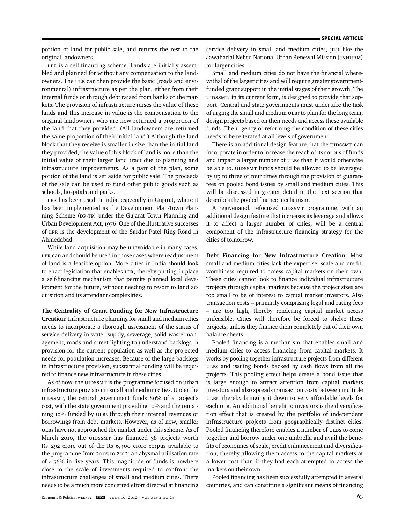portion of land for public sale, and returns the rest to the original landowners.

LPR is a self-financing scheme. Lands are initially assembled and planned for without any compensation to the landowners. The ULB can then provide the basic (roads and environmental) infrastructure as per the plan, either from their internal funds or through debt raised from banks or the markets. The provision of infrastructure raises the value of these lands and this increase in value is the compensation to the original landowners who are now returned a proportion of the land that they provided. (All landowners are returned the same proportion of their initial land.) Although the land block that they receive is smaller in size than the initial land they provided, the value of this block of land is more than the initial value of their larger land tract due to planning and infrastructure improvements. As a part of the plan, some portion of the land is set aside for public sale. The proceeds of the sale can be used to fund other public goods such as schools, hospitals and parks.

LPR has been used in India, especially in Gujarat, where it has been implemented as the Development Plan-Town Planning Scheme (DP-TP) under the Gujarat Town Planning and Urban Development Act, 1976. One of the illustrative successes of LPR is the development of the Sardar Patel Ring Road in Ahmedabad.

While land acquisition may be unavoidable in many cases, LPR can and should be used in those cases where readjustment of land is a feasible option. More cities in India should look to enact legislation that enables LPR, thereby putting in place a self-financing mechanism that permits planned local development for the future, without needing to resort to land acquisition and its attendant complexities.

**The Centrality of Grant Funding for New Infrastructure Creation:** Infrastructure planning for small and medium cities needs to incorporate a thorough assessment of the status of service delivery in water supply, sewerage, solid waste management, roads and street lighting to understand backlogs in provision for the current population as well as the projected needs for population increases. Because of the large backlogs in infrastructure provision, substantial funding will be required to finance new infrastructure in these cities.

As of now, the UIDSSMT is the programme focused on urban infrastructure provision in small and medium cities. Under the UIDSSMT, the central government funds 80% of a project's cost, with the state government providing 10% and the remaining 10% funded by ULBs through their internal revenues or borrowings from debt markets. However, as of now, smaller ULBs have not approached the market under this scheme. As of March 2010, the UIDSSMT has financed 38 projects worth Rs 292 crore out of the Rs 6,400 crore corpus available to the programme from 2005 to 2012; an abysmal utilisation rate of 4.56% in five years. This magnitude of funds is nowhere close to the scale of investments required to confront the infra structure challenges of small and medium cities. There needs to be a much more concerted effort directed at financing

service delivery in small and medium cities, just like the Jawaharlal Nehru National Urban Renewal Mission (JNNURM) for larger cities.

Small and medium cities do not have the financial wherewithal of the larger cities and will require greater governmentfunded grant support in the initial stages of their growth. The UIDSSMT, in its current form, is designed to provide that support. Central and state governments must undertake the task of urging the small and medium ULBs to plan for the long term, design projects based on their needs and access these available funds. The urgency of reforming the condition of these cities needs to be reiterated at all levels of government.

There is an additional design feature that the UIDSSMT can incorporate in order to increase the reach of its corpus of funds and impact a larger number of ULBs than it would otherwise be able to. UIDSSMT funds should be allowed to be leveraged by up to three or four times through the provision of guarantees on pooled bond issues by small and medium cities. This will be discussed in greater detail in the next section that describes the pooled finance mechanism.

A rejuvenated, refocused UIDSSMT programme, with an additional design feature that increases its leverage and allows it to affect a larger number of cities, will be a central component of the infrastructure financing strategy for the cities of tomorrow.

**Debt Financing for New Infrastructure Creation:** Most small and medium cities lack the expertise, scale and creditworthiness required to access capital markets on their own. These cities cannot look to finance individual infrastructure projects through capital markets because the project sizes are too small to be of interest to capital market investors. Also transaction costs – primarily comprising legal and rating fees – are too high, thereby rendering capital market access unfeasible. Cities will therefore be forced to shelve these projects, unless they finance them completely out of their own balance sheets.

Pooled financing is a mechanism that enables small and medium cities to access financing from capital markets. It works by pooling together infrastructure projects from different ULBs and issuing bonds backed by cash flows from all the projects. This pooling effect helps create a bond issue that is large enough to attract attention from capital markets investors and also spreads transaction costs between multiple ULBs, thereby bringing it down to very affordable levels for each ULB. An additional benefit to investors is the diversification effect that is created by the portfolio of independent infrastructure projects from geographically distinct cities. Pooled financing therefore enables a number of ULBS to come together and borrow under one umbrella and avail the benefits of economies of scale, credit enhancement and diversification, thereby allowing them access to the capital markets at a lower cost than if they had each attempted to access the markets on their own.

Pooled financing has been successfully attempted in several countries, and can constitute a significant means of financing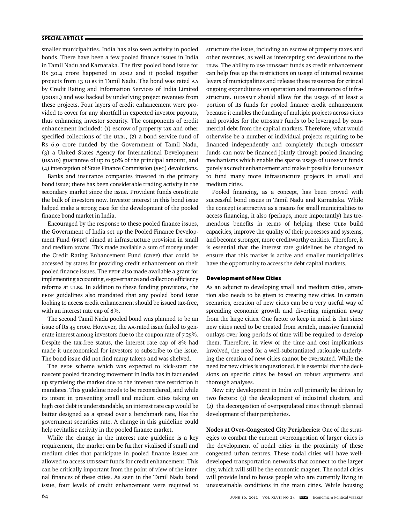smaller municipalities. India has also seen activity in pooled bonds. There have been a few pooled finance issues in India in Tamil Nadu and Karnataka. The first pooled bond issue for Rs 30.4 crore happened in 2002 and it pooled together projects from 13 ULBs in Tamil Nadu. The bond was rated AA by Credit Rating and Information Services of India Limited (CRISIL) and was backed by underlying project revenues from these projects. Four layers of credit enhancement were provided to cover for any shortfall in expected investor payouts, thus enhancing investor security. The components of credit enhance ment included: (1) escrow of property tax and other specified collections of the ULBs, (2) a bond service fund of Rs 6.9 crore funded by the Government of Tamil Nadu, (3) a United States Agency for International Development (USAID) guarantee of up to 50% of the principal amount, and (4) interception of State Finance Commission (SFC) devolutions.

Banks and insurance companies invested in the primary bond issue; there has been considerable trading activity in the secondary market since the issue. Provident funds constitute the bulk of investors now. Investor interest in this bond issue helped make a strong case for the development of the pooled finance bond market in India.

Encouraged by the response to these pooled finance issues, the Government of India set up the Pooled Finance Development Fund (PFDF) aimed at infrastructure provision in small and medium towns. This made available a sum of money under the Credit Rating Enhancement Fund (CREF) that could be accessed by states for providing credit enhancement on their pooled finance issues. The PFDF also made available a grant for implementing accounting, e-governance and collection efficiency reforms at ULBs. In addition to these funding provisions, the PFDF guidelines also mandated that any pooled bond issue looking to access credit enhancement should be issued tax-free, with an interest rate cap of 8%.

The second Tamil Nadu pooled bond was planned to be an issue of Rs 45 crore. However, the AA-rated issue failed to generate interest among investors due to the coupon rate of 7.25%. Despite the tax-free status, the interest rate cap of 8% had made it uneconomical for investors to subscribe to the issue. The bond issue did not find many takers and was shelved.

The PFDF scheme which was expected to kick-start the nascent pooled financing movement in India has in fact ended up stymieing the market due to the interest rate restriction it mandates. This guideline needs to be reconsidered, and while its intent in preventing small and medium cities taking on high cost debt is understandable, an interest rate cap would be better designed as a spread over a benchmark rate, like the government securities rate. A change in this guideline could help revitalise activity in the pooled finance market.

While the change in the interest rate guideline is a key requirement, the market can be further vitalised if small and medium cities that participate in pooled finance issues are allowed to access UIDSSMT funds for credit enhancement. This can be critically important from the point of view of the internal finances of these cities. As seen in the Tamil Nadu bond issue, four levels of credit enhancement were required to

structure the issue, including an escrow of property taxes and other revenues, as well as intercepting SFC devolutions to the ULBs. The ability to use UIDSSMT funds as credit enhancement can help free up the restrictions on usage of internal revenue levers of municipalities and release these resources for critical ongoing expenditures on operation and maintenance of infrastructure. UIDSSMT should allow for the usage of at least a portion of its funds for pooled finance credit enhancement because it enables the funding of multiple projects across cities and provides for the UIDSSMT funds to be leveraged by commercial debt from the capital markets. Therefore, what would otherwise be a number of individual projects requiring to be financed independently and completely through UIDSSMT funds can now be financed jointly through pooled financing mechanisms which enable the sparse usage of UIDSSMT funds purely as credit enhancement and make it possible for UIDSSMT to fund many more infrastructure projects in small and medium cities.

Pooled financing, as a concept, has been proved with successful bond issues in Tamil Nadu and Karnataka. While the concept is attractive as a means for small municipalities to access financing, it also (perhaps, more importantly) has tremendous benefits in terms of helping these ULBs build capacities, improve the quality of their processes and systems, and become stronger, more creditworthy entities. Therefore, it is essential that the interest rate guidelines be changed to ensure that this market is active and smaller municipalities have the opportunity to access the debt capital markets.

#### **Development of New Cities**

As an adjunct to developing small and medium cities, attention also needs to be given to creating new cities. In certain scenarios, creation of new cities can be a very useful way of spreading economic growth and diverting migration away from the large cities. One factor to keep in mind is that since new cities need to be created from scratch, massive financial outlays over long periods of time will be required to develop them. Therefore, in view of the time and cost implications involved, the need for a well-substantiated rationale underlying the creation of new cities cannot be overstated. While the need for new cities is unquestioned, it is essential that the decisions on specific cities be based on robust arguments and thorough analyses.

New city development in India will primarily be driven by two factors: (1) the development of industrial clusters, and (2) the decongestion of overpopulated cities through planned development of their peripheries.

**Nodes at Over-Congested City Peripheries:** One of the strategies to combat the current overcongestion of larger cities is the development of nodal cities in the proximity of these congested urban centres. These nodal cities will have welldeveloped transportation networks that connect to the larger city, which will still be the economic magnet. The nodal cities will provide land to house people who are currently living in unsustainable conditions in the main cities. While housing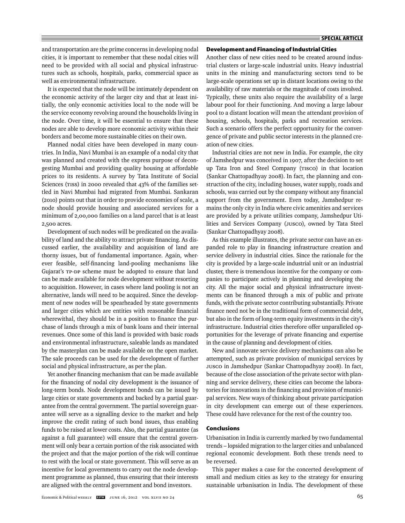and transportation are the prime concerns in developing nodal cities, it is important to remember that these nodal cities will need to be provided with all social and physical infrastructures such as schools, hospitals, parks, commercial space as well as environmental infrastructure.

It is expected that the node will be intimately dependent on the economic activity of the larger city and that at least initially, the only economic activities local to the node will be the service economy revolving around the households living in the node. Over time, it will be essential to ensure that these nodes are able to develop more economic activity within their borders and become more sustainable cities on their own.

Planned nodal cities have been developed in many countries. In India, Navi Mumbai is an example of a nodal city that was planned and created with the express purpose of decongesting Mumbai and providing quality housing at affordable prices to its residents. A survey by Tata Institute of Social Sciences (TISS) in 2000 revealed that 43% of the families settled in Navi Mumbai had migrated from Mumbai. Sankaran (2010) points out that in order to provide economies of scale, a node should provide housing and associated services for a minimum of 2,00,000 families on a land parcel that is at least 2,500 acres.

Development of such nodes will be predicated on the availability of land and the ability to attract private financing. As discussed earlier, the availability and acquisition of land are thorny issues, but of fundamental importance. Again, wherever feasible, self-financing land-pooling mechanisms like Gujarat's TP-DP scheme must be adopted to ensure that land can be made available for node development without resorting to acquisition. However, in cases where land pooling is not an alternative, lands will need to be acquired. Since the development of new nodes will be spearheaded by state governments and larger cities which are entities with reasonable financial wherewithal, they should be in a position to finance the purchase of lands through a mix of bank loans and their internal revenues. Once some of this land is provided with basic roads and environmental infrastructure, saleable lands as mandated by the masterplan can be made available on the open market. The sale proceeds can be used for the development of further social and physical infrastructure, as per the plan.

Yet another financing mechanism that can be made available for the financing of nodal city development is the issuance of long-term bonds. Node development bonds can be issued by large cities or state governments and backed by a partial guarantee from the central government. The partial sovereign guarantee will serve as a signalling device to the market and help improve the credit rating of such bond issues, thus enabling funds to be raised at lower costs. Also, the partial guarantee (as against a full guarantee) will ensure that the central government will only bear a certain portion of the risk associated with the project and that the major portion of the risk will continue to rest with the local or state government. This will serve as an incentive for local governments to carry out the node development programme as planned, thus ensuring that their interests are aligned with the central government and bond investors.

#### **Development and Financing of Industrial Cities**

Another class of new cities need to be created around industrial clusters or large-scale industrial units. Heavy industrial units in the mining and manufacturing sectors tend to be large-scale operations set up in distant locations owing to the availability of raw materials or the magnitude of costs involved. Typically, these units also require the availability of a large labour pool for their functioning. And moving a large labour pool to a distant location will mean the attendant provision of housing, schools, hospitals, parks and recreation services. Such a scenario offers the perfect opportunity for the convergence of private and public sector interests in the planned creation of new cities.

Industrial cities are not new in India. For example, the city of Jamshedpur was conceived in 1907, after the decision to set up Tata Iron and Steel Company (TISCO) in that location (Sankar Chattopadhyay 2008). In fact, the planning and construction of the city, including houses, water supply, roads and schools, was carried out by the company without any financial support from the government. Even today, Jamshedpur remains the only city in India where civic amenities and services are provided by a private utilities company, Jamshedpur Utilities and Services Company (JUSCO), owned by Tata Steel (Sankar Chattopadhyay 2008).

As this example illustrates, the private sector can have an expanded role to play in financing infrastructure creation and service delivery in industrial cities. Since the rationale for the city is provided by a large-scale industrial unit or an industrial cluster, there is tremendous incentive for the company or companies to participate actively in planning and developing the city. All the major social and physical infrastructure investments can be financed through a mix of public and private funds, with the private sector contributing substantially. Private finance need not be in the traditional form of commercial debt, but also in the form of long-term equity investments in the city's infrastructure. Industrial cities therefore offer unparalleled opportunities for the leverage of private financing and expertise in the cause of planning and development of cities.

New and innovate service delivery mechanisms can also be attempted, such as private provision of municipal services by JUSCO in Jamshedpur (Sankar Chattopadhyay 2008). In fact, because of the close association of the private sector with planning and service delivery, these cities can become the laboratories for innovations in the financing and provision of municipal services. New ways of thinking about private participation in city development can emerge out of these experiences. These could have relevance for the rest of the country too.

#### **Conclusions**

Urbanisation in India is currently marked by two fundamental trends – lopsided migration to the larger cities and unbalanced regional economic development. Both these trends need to be reversed.

This paper makes a case for the concerted development of small and medium cities as key to the strategy for ensuring sustainable urbanisation in India. The development of these